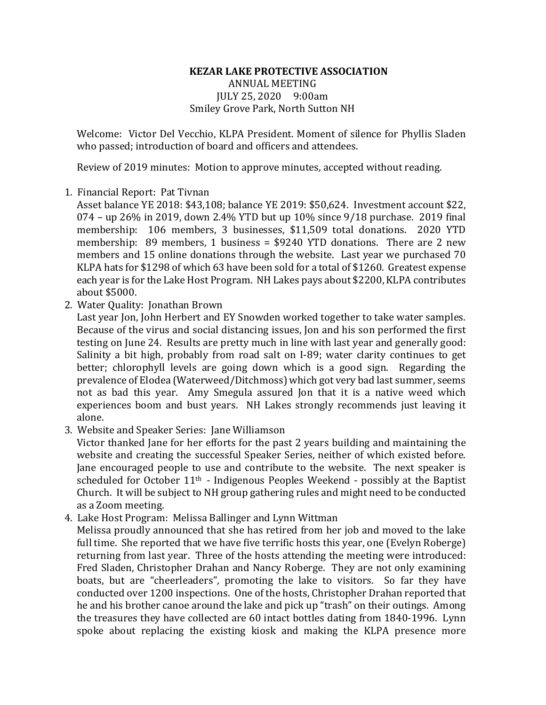## **KEZAR LAKE PROTECTIVE ASSOCIATION ANNUAL MEETING** JULY 25, 2020 9:00am Smiley Grove Park, North Sutton NH

Welcome: Victor Del Vecchio, KLPA President. Moment of silence for Phyllis Sladen who passed; introduction of board and officers and attendees.

Review of 2019 minutes: Motion to approve minutes, accepted without reading.

## 1. Financial Report: Pat Tivnan

Asset balance YE 2018: \$43,108; balance YE 2019: \$50,624. Investment account \$22,  $074 - up 26\%$  in 2019, down 2.4% YTD but up 10% since  $9/18$  purchase. 2019 final membership: 106 members, 3 businesses, \$11,509 total donations. 2020 YTD membership:  $89$  members, 1 business = \$9240 YTD donations. There are 2 new members and 15 online donations through the website. Last year we purchased 70 KLPA hats for \$1298 of which 63 have been sold for a total of \$1260. Greatest expense each year is for the Lake Host Program. NH Lakes pays about \$2200, KLPA contributes about \$5000.

2. Water Quality: Jonathan Brown

Last year Jon, John Herbert and EY Snowden worked together to take water samples. Because of the virus and social distancing issues, Jon and his son performed the first testing on June 24. Results are pretty much in line with last year and generally good: Salinity a bit high, probably from road salt on I-89; water clarity continues to get better; chlorophyll levels are going down which is a good sign. Regarding the prevalence of Elodea (Waterweed/Ditchmoss) which got very bad last summer, seems not as bad this year. Amy Smegula assured Ion that it is a native weed which experiences boom and bust years. NH Lakes strongly recommends just leaving it alone.

3. Website and Speaker Series: Jane Williamson

Victor thanked Jane for her efforts for the past 2 years building and maintaining the website and creating the successful Speaker Series, neither of which existed before. Jane encouraged people to use and contribute to the website. The next speaker is scheduled for October  $11<sup>th</sup>$  - Indigenous Peoples Weekend - possibly at the Baptist Church. It will be subject to NH group gathering rules and might need to be conducted as a Zoom meeting.

4. Lake Host Program: Melissa Ballinger and Lynn Wittman

Melissa proudly announced that she has retired from her job and moved to the lake full time. She reported that we have five terrific hosts this year, one (Evelyn Roberge) returning from last year. Three of the hosts attending the meeting were introduced: Fred Sladen, Christopher Drahan and Nancy Roberge. They are not only examining boats, but are "cheerleaders", promoting the lake to visitors. So far they have conducted over 1200 inspections. One of the hosts, Christopher Drahan reported that he and his brother canoe around the lake and pick up "trash" on their outings. Among the treasures they have collected are  $60$  intact bottles dating from 1840-1996. Lynn spoke about replacing the existing kiosk and making the KLPA presence more